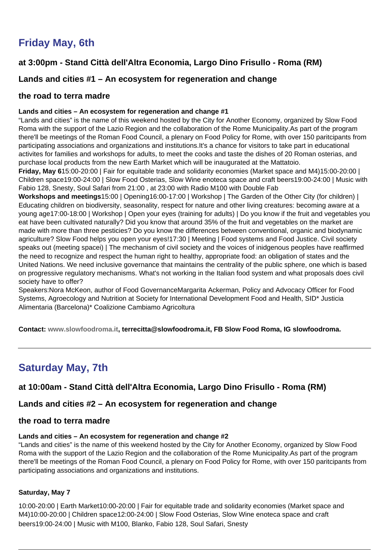# **Friday May, 6th**

# **at 3:00pm - Stand Città dell'Altra Economia, Largo Dino Frisullo - Roma (RM)**

# **Lands and cities #1 – An ecosystem for regeneration and change**

## **the road to terra madre**

#### **Lands and cities – An ecosystem for regeneration and change #1**

"Lands and cities" is the name of this weekend hosted by the City for Another Economy, organized by Slow Food Roma with the support of the Lazio Region and the collaboration of the Rome Municipality.As part of the program there'll be meetings of the Roman Food Council, a plenary on Food Policy for Rome, with over 150 paritcipants from participating associations and organizations and institutions.It's a chance for visitors to take part in educational activites for families and workshops for adults, to meet the cooks and taste the dishes of 20 Roman osterias, and purchase local products from the new Earth Market which will be inaugurated at the Mattatoio.

**Friday, May 6**15:00-20:00 | Fair for equitable trade and solidarity economies (Market space and M4)15:00-20:00 | Children space19:00-24:00 | Slow Food Osterias, Slow Wine enoteca space and craft beers19:00-24:00 | Music with Fabio 128, Snesty, Soul Safari from 21:00 , at 23:00 with Radio M100 with Double Fab

**Workshops and meetings**15:00 | Opening16:00-17:00 | Workshop | The Garden of the Other City (for children) | Educating children on biodiversity, seasonality, respect for nature and other living creatures: becoming aware at a young age17:00-18:00 | Workshop | Open your eyes (training for adults) | Do you know if the fruit and vegetables you eat have been cultivated naturally? Did you know that around 35% of the fruit and vegetables on the market are made with more than three pesticies? Do you know the differences between conventional, organic and biodynamic agriculture? Slow Food helps you open your eyes!17:30 | Meeting | Food systems and Food Justice. Civil society speaks out (meeting spacei) | The mechanism of civil society and the voices of inidgenous peoples have reaffirmed the need to recognize and respect the human right to healthy, appropriate food: an obligation of states and the United Nations. We need inclusive governance that maintains the centrality of the public sphere, one which is based on progressive regulatory mechanisms. What's not working in the Italian food system and what proposals does civil society have to offer?

Speakers:Nora McKeon, author of Food GovernanceMargarita Ackerman, Policy and Advocacy Officer for Food Systems, Agroecology and Nutrition at Society for International Development Food and Health, SID\* Justicia Alimentaria (Barcelona)\* Coalizione Cambiamo Agricoltura

**Contact: [www.slowfoodroma.it,](http://www.slowfoodroma.it/) terrecitta@slowfoodroma.it, FB Slow Food Roma, IG slowfoodroma.**

# **Saturday May, 7th**

# **at 10:00am - Stand Città dell'Altra Economia, Largo Dino Frisullo - Roma (RM)**

# **Lands and cities #2 – An ecosystem for regeneration and change**

#### **the road to terra madre**

#### **Lands and cities – An ecosystem for regeneration and change #2**

"Lands and cities" is the name of this weekend hosted by the City for Another Economy, organized by Slow Food Roma with the support of the Lazio Region and the collaboration of the Rome Municipality.As part of the program there'll be meetings of the Roman Food Council, a plenary on Food Policy for Rome, with over 150 paritcipants from participating associations and organizations and institutions.

#### **Saturday, May 7**

10:00-20:00 | Earth Market10:00-20:00 | Fair for equitable trade and solidarity economies (Market space and M4)10:00-20:00 | Children space12:00-24:00 | Slow Food Osterias, Slow Wine enoteca space and craft beers19:00-24:00 | Music with M100, Blanko, Fabio 128, Soul Safari, Snesty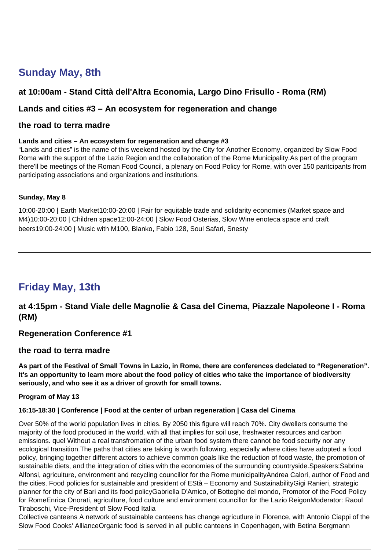# **Sunday May, 8th**

# **at 10:00am - Stand Città dell'Altra Economia, Largo Dino Frisullo - Roma (RM)**

# **Lands and cities #3 – An ecosystem for regeneration and change**

### **the road to terra madre**

#### **Lands and cities – An ecosystem for regeneration and change #3**

"Lands and cities" is the name of this weekend hosted by the City for Another Economy, organized by Slow Food Roma with the support of the Lazio Region and the collaboration of the Rome Municipality.As part of the program there'll be meetings of the Roman Food Council, a plenary on Food Policy for Rome, with over 150 paritcipants from participating associations and organizations and institutions.

#### **Sunday, May 8**

10:00-20:00 | Earth Market10:00-20:00 | Fair for equitable trade and solidarity economies (Market space and M4)10:00-20:00 | Children space12:00-24:00 | Slow Food Osterias, Slow Wine enoteca space and craft beers19:00-24:00 | Music with M100, Blanko, Fabio 128, Soul Safari, Snesty

# **Friday May, 13th**

**at 4:15pm - Stand Viale delle Magnolie & Casa del Cinema, Piazzale Napoleone I - Roma (RM)**

#### **Regeneration Conference #1**

#### **the road to terra madre**

**As part of the Festival of Small Towns in Lazio, in Rome, there are conferences dedciated to "Regeneration". It's an opportunity to learn more about the food policy of cities who take the importance of biodiversity seriously, and who see it as a driver of growth for small towns.**

#### **Program of May 13**

#### **16:15-18:30 | Conference | Food at the center of urban regeneration | Casa del Cinema**

Over 50% of the world population lives in cities. By 2050 this figure will reach 70%. City dwellers consume the majority of the food produced in the world, with all that implies for soil use, freshwater resources and carbon emissions. quel Without a real transfromation of the urban food system there cannot be food security nor any ecological transition.The paths that cities are taking is worth following, especially where cities have adopted a food policy, bringing together different actors to achieve common goals like the reduction of food waste, the promotion of sustainable diets, and the integration of cities with the economies of the surrounding countryside.Speakers:Sabrina Alfonsi, agriculture, environment and recycling councillor for the Rome municipalityAndrea Calori, author of Food and the cities. Food policies for sustainable and president of EStà – Economy and SustainabilityGigi Ranieri, strategic planner for the city of Bari and its food policyGabriella D'Amico, of Botteghe del mondo, Promotor of the Food Policy for RomeEnrica Onorati, agriculture, food culture and environment councillor for the Lazio ReigonModerator: Raoul Tiraboschi, Vice-President of Slow Food Italia

Collective canteens A network of sustainable canteens has change agricutlure in Florence, with Antonio Ciappi of the Slow Food Cooks' AllianceOrganic food is served in all public canteens in Copenhagen, with Betina Bergmann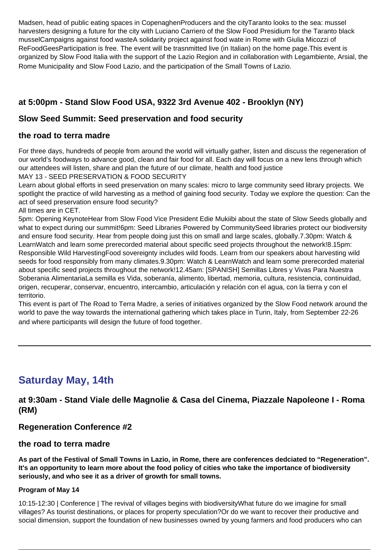Madsen, head of public eating spaces in CopenaghenProducers and the cityTaranto looks to the sea: mussel harvesters designing a future for the city with Luciano Carriero of the Slow Food Presidium for the Taranto black musselCampaigns against food wasteA solidarity project against food wate in Rome with Giulia Micozzi of ReFoodGeesParticipation is free. The event will be trasnmitted live (in Italian) on the home page.This event is organized by Slow Food Italia with the support of the Lazio Region and in collaboration with Legambiente, Arsial, the Rome Municipality and Slow Food Lazio, and the participation of the Small Towns of Lazio.

# **at 5:00pm - Stand Slow Food USA, 9322 3rd Avenue 402 - Brooklyn (NY)**

# **Slow Seed Summit: Seed preservation and food security**

## **the road to terra madre**

For three days, hundreds of people from around the world will virtually gather, listen and discuss the regeneration of our world's foodways to advance good, clean and fair food for all. Each day will focus on a new lens through which our attendees will listen, share and plan the future of our climate, health and food justice

MAY 13 - SEED PRESERVATION & FOOD SECURITY

Learn about global efforts in seed preservation on many scales: micro to large community seed library projects. We spotlight the practice of wild harvesting as a method of gaining food security. Today we explore the question: Can the act of seed preservation ensure food security?

All times are in CET.

5pm: Opening KeynoteHear from Slow Food Vice President Edie Mukiibi about the state of Slow Seeds globally and what to expect during our summit!6pm: Seed Libraries Powered by CommunitySeed libraries protect our biodiversity and ensure food security. Hear from people doing just this on small and large scales, globally.7.30pm: Watch & LearnWatch and learn some prerecorded material about specific seed projects throughout the network!8.15pm: Responsible Wild HarvestingFood sovereignty includes wild foods. Learn from our speakers about harvesting wild seeds for food responsibly from many climates.9.30pm: Watch & LearnWatch and learn some prerecorded material about specific seed projects throughout the network!12.45am: [SPANISH] Semillas Libres y Vivas Para Nuestra Soberania AlimentariaLa semilla es Vida, soberanía, alimento, libertad, memoria, cultura, resistencia, continuidad, origen, recuperar, conservar, encuentro, intercambio, articulación y relación con el agua, con la tierra y con el territorio.

This event is part of The Road to Terra Madre, a series of initiatives organized by the Slow Food network around the world to pave the way towards the international gathering which takes place in Turin, Italy, from September 22-26 and where participants will design the future of food together.

# **Saturday May, 14th**

**at 9:30am - Stand Viale delle Magnolie & Casa del Cinema, Piazzale Napoleone I - Roma (RM)**

# **Regeneration Conference #2**

#### **the road to terra madre**

**As part of the Festival of Small Towns in Lazio, in Rome, there are conferences dedciated to "Regeneration". It's an opportunity to learn more about the food policy of cities who take the importance of biodiversity seriously, and who see it as a driver of growth for small towns.**

#### **Program of May 14**

10:15-12:30 | Conference | The revival of villages begins with biodiversityWhat future do we imagine for small villages? As tourist destinations, or places for property speculation?Or do we want to recover their productive and social dimension, support the foundation of new businesses owned by young farmers and food producers who can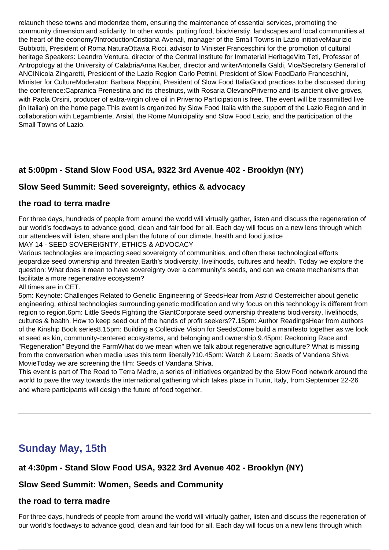relaunch these towns and modenrize them, ensuring the maintenance of essential services, promoting the community dimension and solidarity. In other words, putting food, biodvierstiy, landscapes and local communities at the heart of the economy?IntroductionCristiana Avenali, manager of the Small Towns in Lazio initiativeMaurizio Gubbiotti, President of Roma NaturaOttavia Ricci, advisor to Minister Franceschini for the promotion of cultural heritage Speakers: Leandro Ventura, director of the Central Institute for Immaterial HeritageVito Teti, Professor of Antropology at the University of CalabriaAnna Kauber, director and writerAntonella Galdi, Vice/Secretary General of ANCINicola Zingaretti, President of the Lazio Region Carlo Petrini, President of Slow FoodDario Franceschini, Minister for CultureModerator: Barbara Nappini, President of Slow Food ItaliaGood practices to be discussed during the conference:Capranica Prenestina and its chestnuts, with Rosaria OlevanoPriverno and its ancient olive groves, with Paola Orsini, producer of extra-virgin olive oil in Priverno Participation is free. The event will be trasnmitted live (in Italian) on the home page.This event is organized by Slow Food Italia with the support of the Lazio Region and in collaboration with Legambiente, Arsial, the Rome Municipality and Slow Food Lazio, and the participation of the Small Towns of Lazio.

# **at 5:00pm - Stand Slow Food USA, 9322 3rd Avenue 402 - Brooklyn (NY)**

# **Slow Seed Summit: Seed sovereignty, ethics & advocacy**

## **the road to terra madre**

For three days, hundreds of people from around the world will virtually gather, listen and discuss the regeneration of our world's foodways to advance good, clean and fair food for all. Each day will focus on a new lens through which our attendees will listen, share and plan the future of our climate, health and food justice

MAY 14 - SEED SOVEREIGNTY, ETHICS & ADVOCACY

Various technologies are impacting seed sovereignty of communities, and often these technological efforts ieopardize seed ownership and threaten Earth's biodiversity, livelihoods, cultures and health. Today we explore the question: What does it mean to have sovereignty over a community's seeds, and can we create mechanisms that facilitate a more regenerative ecosystem?

All times are in CET.

5pm: Keynote: Challenges Related to Genetic Engineering of SeedsHear from Astrid Oesterreicher about genetic engineering, ethical technologies surrounding genetic modification and why focus on this technology is different from region to region.6pm: Little Seeds Fighting the GiantCorporate seed ownership threatens biodiversity, livelihoods, cultures & health. How to keep seed out of the hands of profit seekers?7.15pm: Author ReadingsHear from authors of the Kinship Book series8.15pm: Building a Collective Vision for SeedsCome build a manifesto together as we look at seed as kin, community-centered ecosystems, and belonging and ownership.9.45pm: Reckoning Race and "Regeneration" Beyond the FarmWhat do we mean when we talk about regenerative agriculture? What is missing from the conversation when media uses this term liberally?10.45pm: Watch & Learn: Seeds of Vandana Shiva MovieToday we are screening the film: Seeds of Vandana Shiva.

This event is part of The Road to Terra Madre, a series of initiatives organized by the Slow Food network around the world to pave the way towards the international gathering which takes place in Turin, Italy, from September 22-26 and where participants will design the future of food together.

# **Sunday May, 15th**

# **at 4:30pm - Stand Slow Food USA, 9322 3rd Avenue 402 - Brooklyn (NY)**

# **Slow Seed Summit: Women, Seeds and Community**

#### **the road to terra madre**

For three days, hundreds of people from around the world will virtually gather, listen and discuss the regeneration of our world's foodways to advance good, clean and fair food for all. Each day will focus on a new lens through which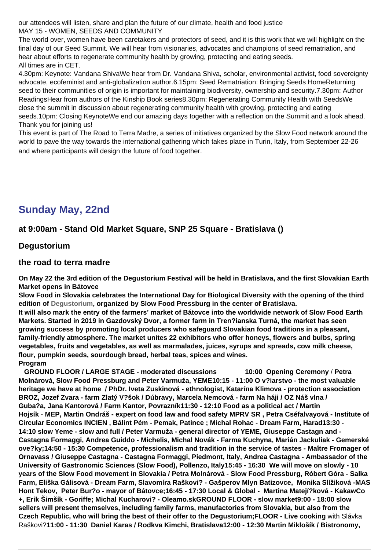our attendees will listen, share and plan the future of our climate, health and food justice MAY 15 - WOMEN, SEEDS AND COMMUNITY

The world over, women have been caretakers and protectors of seed, and it is this work that we will highlight on the final day of our Seed Summit. We will hear from visionaries, advocates and champions of seed rematriation, and hear about efforts to regenerate community health by growing, protecting and eating seeds. All times are in CET.

4.30pm: Keynote: Vandana ShivaWe hear from Dr. Vandana Shiva, scholar, environmental activist, food sovereignty advocate, ecofeminist and anti-globalization author.6.15pm: Seed Rematriation: Bringing Seeds HomeReturning seed to their communities of origin is important for maintaining biodiversity, ownership and security.7.30pm: Author ReadingsHear from authors of the Kinship Book series8.30pm: Regenerating Community Health with SeedsWe close the summit in discussion about regenerating community health with growing, protecting and eating seeds.10pm: Closing KeynoteWe end our amazing days together with a reflection on the Summit and a look ahead. Thank you for joining us!

This event is part of The Road to Terra Madre, a series of initiatives organized by the Slow Food network around the world to pave the way towards the international gathering which takes place in Turin, Italy, from September 22-26 and where participants will design the future of food together.

# **Sunday May, 22nd**

# **at 9:00am - Stand Old Market Square, SNP 25 Square - Bratislava ()**

## **Degustorium**

#### **the road to terra madre**

**On May 22 the 3rd edition of the Degustorium Festival will be held in Bratislava, and the first Slovakian Earth Market opens in Bátovce**

**Slow Food in Slovakia celebrates the International Day for Biological Diversity with the opening of the third edition of [Degustorium](https://www.degustorium.sk/), organized by Slow Food Pressburg in the center of Bratislava.** 

**It will also mark the entry of the farmers' market of Bátovce into the worldwide network of Slow Food Earth Markets. Started in 2019 in Gazdovský Dvor, a former farm in Tren?ianska Turná, the market has seen growing success by promoting local producers who safeguard Slovakian food traditions in a pleasant, family-friendly atmosphere. The market unites 22 exhibitors who offer honeys, flowers and bulbs, spring vegetables, fruits and vegetables, as well as marmalades, juices, syrups and spreads, cow milk cheese, flour, pumpkin seeds, sourdough bread, herbal teas, spices and wines. Program**

 **GROUND FLOOR / LARGE STAGE - moderated discussions 10:00 Opening Ceremony** / **Petra Molnárová, Slow Food Pressburg and Peter Varmuža, YEME10:15 - 11:00 O v?iarstvo - the most valuable heritage we have at home / PhDr. Iveta Zuskinová - ethnologist, Katarína Klimova - protection association BROZ, Jozef Zvara - farm Zlatý V?šok / Dúbravy, Marcela Nemcová - farm Na háji / OZ Náš vlna / Guba?a, Jana Kantorová / Farm Kantor, Povrazník11:30 - 12:10 Food as a political act / Martin Hojsík** - **MEP, Martin Ondráš - expert on food law and food safety MPRV SR , Petra Cséfalvayová - Institute of Circular Economics INCIEN , Bálint Pém - Pemak, Patince ; Michal Rohac - Dream Farm, Harad13:30 - 14:10 slow Yeme - slow and full / Peter Varmuža - general director of YEME, Giuseppe Castagn and - Castagna Formaggi, Andrea Guiddo - Michelis, Michal Novák - Farma Kuchyna, Marián Jackuliak - Gemerské ove?ky;14:50 - 15:30 Competence, professionalism and tradition in the service of tastes - Maître Fromager of Ornavass / Giuseppe Castagna - Castagna Formaggi, Piedmont, Italy, Andrea Castagna - Ambassador of the University of Gastronomic Sciences (Slow Food), Pollenzo, Italy15:45 - 16:30 We will move on slowly - 10 years of the Slow Food movement in Slovakia / Petra Molnárová - Slow Food Pressburg, Róbert Góra - Salka Farm, Eliška Gálisová - Dream Farm, Slavomíra Raškovi? - Gašperov Mlyn Batizovce, Monika Slížiková -MAS Hont Tekov, Peter Bur?o - mayor of Bátovce;16:45 - 17:30 Local & Global - Martina Matejí?ková - KakawCo +, Erik Šimšík - Goriffe; Michal Kucharovi? - Oleamo.skGROUND FLOOR - slow market9:00 - 18:00 slow sellers will present themselves, including family farms, manufactories from Slovakia, but also from the Czech Republic, who will bring the best of their offer to the Degustorium;FLOOR - Live cooking** with Slávka Raškovi?**11:00 - 11:30 Daniel Karas / Rodkva Kimchi, Bratislava12:00 - 12:30 Martin Miklošík / Bistronomy,**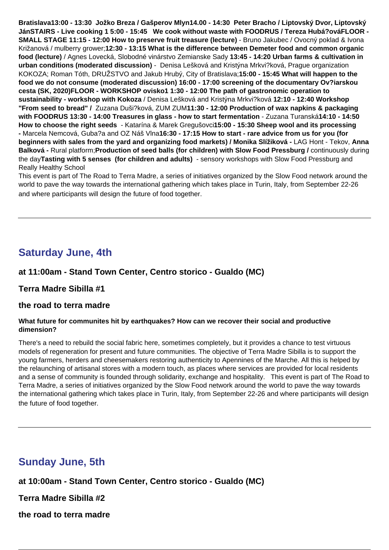**Bratislava13:00 - 13:30 Jožko Breza / Gašperov Mlyn14.00 - 14:30 Peter Bracho / Liptovský Dvor, Liptovský JánSTAIRS - Live cooking 1 5:00 - 15:45 We cook without waste with FOODRUS / Tereza Hubá?ováFLOOR - SMALL STAGE 11:15 - 12:00 How to preserve fruit treasure (lecture)** - Bruno Jakubec / Ovocný poklad & Ivona Križanová / mulberry grower;**12:30 - 13:15 What is the difference between Demeter food and common organic food (lecture)** / Agnes Lovecká, Slobodné vinárstvo Zemianske Sady **13:45 - 14:20 Urban farms & cultivation in urban conditions (moderated discussion)** - Denisa Lešková and Kristýna Mrkvi?ková, Prague organization KOKOZA; Roman Tóth, DRUŽSTVO and Jakub Hrubý, City of Bratislava;**15:00 - 15:45 What will happen to the food we do not consume (moderated discussion) 16:00 - 17:00 screening of the documentary Ov?iarskou cesta (SK, 2020)FLOOR - WORKSHOP ovisko1 1:30 - 12:00 The path of gastronomic operation to sustainability - workshop with Kokoza** / Denisa Lešková and Kristýna Mrkvi?ková **12:10 - 12:40 Workshop "From seed to bread" /** Zuzana Duši?ková, ZUM ZUM**11:30 - 12:00 Production of wax napkins & packaging with FOODRUS 13:30 - 14:00 Treasures in glass - how to start fermentation** - Zuzana Turanská**14:10 - 14:50 How to choose the right seeds** - Katarína & Marek Gregušovci**15:00 - 15:30 Sheep wool and its processing -** Marcela Nemcová, Guba?a and OZ Náš Vlna**16:30 - 17:15 How to start - rare advice from us for you (for beginners with sales from the yard and organizing food markets) / Monika Slížiková -** LAG Hont - Tekov, **Anna Balková -** Rural platform;**Production of seed balls (for children) with Slow Food Pressburg /** continuously during the day**Tasting with 5 senses (for children and adults)** - sensory workshops with Slow Food Pressburg and Really Healthy School

This event is part of The Road to Terra Madre, a series of initiatives organized by the Slow Food network around the world to pave the way towards the international gathering which takes place in Turin, Italy, from September 22-26 and where participants will design the future of food together.

# **Saturday June, 4th**

# **at 11:00am - Stand Town Center, Centro storico - Gualdo (MC)**

#### **Terra Madre Sibilla #1**

#### **the road to terra madre**

#### **What future for communites hit by earthquakes? How can we recover their social and productive dimension?**

There's a need to rebuild the social fabric here, sometimes completely, but it provides a chance to test virtuous models of regeneration for present and future communities. The objective of Terra Madre Sibilla is to support the young farmers, herders and cheesemakers restoring authenticity to Apennines of the Marche. All this is helped by the relaunching of artisanal stores with a modern touch, as places where services are provided for local residents and a sense of community is founded through solidarity, exchange and hospitality. This event is part of The Road to Terra Madre, a series of initiatives organized by the Slow Food network around the world to pave the way towards the international gathering which takes place in Turin, Italy, from September 22-26 and where participants will design the future of food together.

# **Sunday June, 5th**

**at 10:00am - Stand Town Center, Centro storico - Gualdo (MC)**

**Terra Madre Sibilla #2**

**the road to terra madre**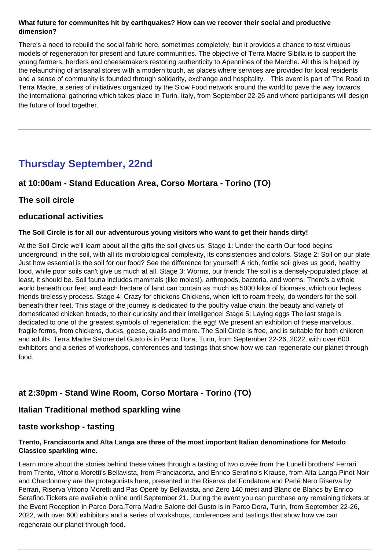#### **What future for communites hit by earthquakes? How can we recover their social and productive dimension?**

There's a need to rebuild the social fabric here, sometimes completely, but it provides a chance to test virtuous models of regeneration for present and future communities. The objective of Terra Madre Sibilla is to support the young farmers, herders and cheesemakers restoring authenticity to Apennines of the Marche. All this is helped by the relaunching of artisanal stores with a modern touch, as places where services are provided for local residents and a sense of community is founded through solidarity, exchange and hospitality. This event is part of The Road to Terra Madre, a series of initiatives organized by the Slow Food network around the world to pave the way towards the international gathering which takes place in Turin, Italy, from September 22-26 and where participants will design the future of food together.

# **Thursday September, 22nd**

# **at 10:00am - Stand Education Area, Corso Mortara - Torino (TO)**

# **The soil circle**

#### **educational activities**

#### **The Soil Circle is for all our adventurous young visitors who want to get their hands dirty!**

At the Soil Circle we'll learn about all the gifts the soil gives us. Stage 1: Under the earth Our food begins underground, in the soil, with all its microbiological complexity, its consistencies and colors. Stage 2: Soil on our plate Just how essential is the soil for our food? See the difference for yourself! A rich, fertile soil gives us good, healthy food, while poor soils can't give us much at all. Stage 3: Worms, our friends The soil is a densely-populated place; at least, it should be. Soil fauna includes mammals (like moles!), arthropods, bacteria, and worms. There's a whole world beneath our feet, and each hectare of land can contain as much as 5000 kilos of biomass, which our legless friends tirelessly process. Stage 4: Crazy for chickens Chickens, when left to roam freely, do wonders for the soil beneath their feet. This stage of the journey is dedicated to the poultry value chain, the beauty and variety of domesticated chicken breeds, to their curiosity and their intelligence! Stage 5: Laying eggs The last stage is dedicated to one of the greatest symbols of regeneration: the egg! We present an exhibiton of these marvelous, fragile forms, from chickens, ducks, geese, quails and more. The Soil Circle is free, and is suitable for both children and adults. Terra Madre Salone del Gusto is in Parco Dora, Turin, from September 22-26, 2022, with over 600 exhibitors and a series of workshops, conferences and tastings that show how we can regenerate our planet through food.

# **at 2:30pm - Stand Wine Room, Corso Mortara - Torino (TO)**

# **Italian Traditional method sparkling wine**

# **taste workshop - tasting**

#### **Trento, Franciacorta and Alta Langa are three of the most important Italian denominations for Metodo Classico sparkling wine.**

Learn more about the stories behind these wines through a tasting of two cuvée from the Lunelli brothers' Ferrari from Trento, Vittorio Moretti's Bellavista, from Franciacorta, and Enrico Serafino's Krause, from Alta Langa.Pinot Noir and Chardonnary are the protagonists here, presented in the Riserva del Fondatore and Perlé Nero Riserva by Ferrari, Riserva Vittorio Moretti and Pas Operé by Bellavista, and Zero 140 mesi and Blanc de Blancs by Enrico Serafino.Tickets are available online until September 21. During the event you can purchase any remaining tickets at the Event Reception in Parco Dora.Terra Madre Salone del Gusto is in Parco Dora, Turin, from September 22-26, 2022, with over 600 exhibitors and a series of workshops, conferences and tastings that show how we can regenerate our planet through food.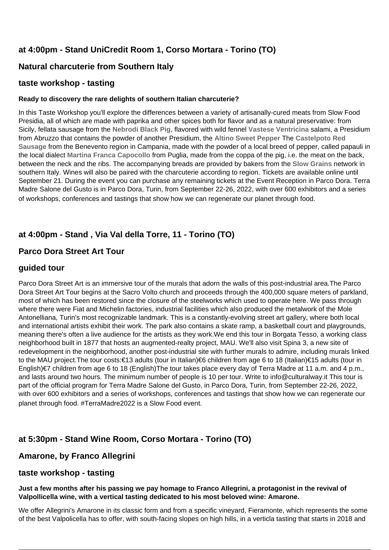# **at 4:00pm - Stand UniCredit Room 1, Corso Mortara - Torino (TO)**

# **Natural charcuterie from Southern Italy**

## **taste workshop - tasting**

#### **Ready to discovery the rare delights of southern Italian charcuterie?**

In this Taste Workshop you'll explore the differences between a variety of artisanally-cured meats from Slow Food Presidia, all of which are made with paprika and other spices both for flavor and as a natural preservative: from Sicily, fellata sausage from the **[Nebrodi Black Pig](https://www.fondazioneslowfood.com/en/slow-food-presidia/nebrodi-black-pig/)**, flavored with wild fennel **[Vastese Ventricina](https://www.fondazioneslowfood.com/en/slow-food-presidia/vastese-ventricina/)** salami, a Presidium from Abruzzo that contains the powder of another Presidium, the **[Altino Sweet Pepper](https://www.fondazioneslowfood.com/en/slow-food-presidia/altino-sweet-pepper/)** The **[Castelpoto Red](https://www.fondazioneslowfood.com/en/slow-food-presidia/castelpoto-red-sausage/) [Sausage](https://www.fondazioneslowfood.com/en/slow-food-presidia/castelpoto-red-sausage/)** from the Benevento region in Campania, made with the powder of a local breed of pepper, called papauli in the local dialect **[Martina Franca Capocollo](https://www.fondazioneslowfood.com/en/slow-food-presidia/martina-franca-capocollo/)** from Puglia, made from the coppa of the pig, i.e. the meat on the back, between the neck and the ribs. The accompanying breads are provided by bakers from the **[Slow Grains](https://www.slowfood.it/slow-grains-la-rete-slow-food-dei-custodi-dei-grani-tradizionali/)** network in southern Italy. Wines will also be paired with the charcuterie according to region. Tickets are available online until September 21. During the event you can purchase any remaining tickets at the Event Reception in Parco Dora. Terra Madre Salone del Gusto is in Parco Dora, Turin, from September 22-26, 2022, with over 600 exhibitors and a series of workshops, conferences and tastings that show how we can regenerate our planet through food.

# **at 4:00pm - Stand , Via Val della Torre, 11 - Torino (TO)**

# **Parco Dora Street Art Tour**

## **guided tour**

Parco Dora Street Art is an immersive tour of the murals that adorn the walls of this post-industrial area.The Parco Dora Street Art Tour begins at the Sacro Volto church and proceeds through the 400,000 square meters of parkland, most of which has been restored since the closure of the steelworks which used to operate here. We pass through where there were Fiat and Michelin factories, industrial facilities which also produced the metalwork of the Mole Antonelliana, Turin's most recognizable landmark. This is a constantly-evolving street art gallery, where both local and international artists exhibit their work. The park also contains a skate ramp, a basketball court and playgrounds, meaning there's often a live audience for the artists as they work.We end this tour in Borgata Tesso, a working class neighborhood built in 1877 that hosts an augmented-realty project, MAU. We'll also visit Spina 3, a new site of redevelopment in the neighborhood, another post-industrial site with further murals to admire, including murals linked to the MAU project.The tour costs:€13 adults (tour in Italian)€6 children from age 6 to 18 (Italian)€15 adults (tour in English)€7 children from age 6 to 18 (English)The tour takes place every day of Terra Madre at 11 a.m. and 4 p.m., and lasts around two hours. The minimum number of people is 10 per tour. Write to info@culturalway.it This tour is part of the official program for Terra Madre Salone del Gusto, in Parco Dora, Turin, from September 22-26, 2022, with over 600 exhibitors and a series of workshops, conferences and tastings that show how we can regenerate our planet through food. #TerraMadre2022 is a Slow Food event.

# **at 5:30pm - Stand Wine Room, Corso Mortara - Torino (TO)**

# **Amarone, by Franco Allegrini**

# **taste workshop - tasting**

#### **Just a few months after his passing we pay homage to Franco Allegrini, a protagonist in the revival of Valpollicella wine, with a vertical tasting dedicated to his most beloved wine: Amarone.**

We offer Allegrini's Amarone in its classic form and from a specific vineyard, Fieramonte, which represents the some of the best Valpolicella has to offer, with south-facing slopes on high hills, in a verticla tasting that starts in 2018 and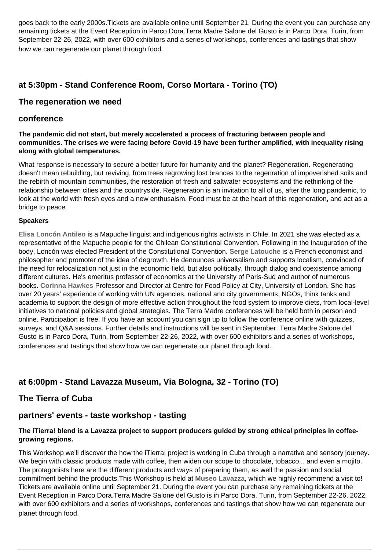goes back to the early 2000s.Tickets are available online until September 21. During the event you can purchase any remaining tickets at the Event Reception in Parco Dora.Terra Madre Salone del Gusto is in Parco Dora, Turin, from September 22-26, 2022, with over 600 exhibitors and a series of workshops, conferences and tastings that show how we can regenerate our planet through food.

# **at 5:30pm - Stand Conference Room, Corso Mortara - Torino (TO)**

#### **The regeneration we need**

#### **conference**

**The pandemic did not start, but merely accelerated a process of fracturing between people and communities. The crises we were facing before Covid-19 have been further amplified, with inequality rising along with global temperatures.**

What response is necessary to secure a better future for humanity and the planet? Regeneration. Regenerating doesn't mean rebuilding, but reviving, from trees regrowing lost brances to the regenration of impoverished soils and the rebirth of mountain communities, the restoration of fresh and saltwater ecosystems and the rethinking of the relationship between cities and the countryside. Regeneration is an invitation to all of us, after the long pandemic, to look at the world with fresh eyes and a new enthusaism. Food must be at the heart of this regeneration, and act as a bridge to peace.

#### **Speakers**

**[Elisa Loncón Antileo](https://en.wikipedia.org/wiki/Elisa_Lonc%C3%B3n)** is a Mapuche linguist and indigenous rights activists in Chile. In 2021 she was elected as a representative of the Mapuche people for the Chilean Constitutional Convention. Following in the inauguration of the body, Loncón was elected President of the Constitutional Convention. **[Serge Latouche](https://it.wikipedia.org/wiki/Serge_Latouche)** is a French economist and philosopher and promoter of the idea of degrowth. He denounces universalism and supports localism, convinced of the need for relocalization not just in the economic field, but also politically, through dialog and coexistence among different cultures. He's emeritus professor of economics at the University of Paris-Sud and author of numerous books. **[Corinna Hawkes](https://www.city.ac.uk/about/people/academics/corinna-hawkes)** Professor and Director at Centre for Food Policy at City, University of London. She has over 20 years' experience of working with UN agencies, national and city governments, NGOs, think tanks and academia to support the design of more effective action throughout the food system to improve diets, from local-level initiatives to national policies and global strategies. The Terra Madre conferences will be held both in person and online. Participation is free. If you have an account you can sign up to follow the conference online with quizzes, surveys, and Q&A sessions. Further details and instructions will be sent in September. Terra Madre Salone del Gusto is in Parco Dora, Turin, from September 22-26, 2022, with over 600 exhibitors and a series of workshops, conferences and tastings that show how we can regenerate our planet through food.

# **at 6:00pm - Stand Lavazza Museum, Via Bologna, 32 - Torino (TO)**

# **The Tierra of Cuba**

# **partners' events - taste workshop - tasting**

#### **The iTierra! blend is a Lavazza project to support producers guided by strong ethical principles in coffeegrowing regions.**

This Workshop we'll discover the how the iTierra! project is working in Cuba through a narrative and sensory journey. We begin with classic products made with coffee, then widen our scope to chocolate, tobacco... and even a mojito. The protagonists here are the different products and ways of preparing them, as well the passion and social commitment behind the products.This Workshop is held at **[Museo Lavazza](https://www.lavazza.it/it/museo-lavazza.html)**, which we highly recommend a visit to! Tickets are available online until September 21. During the event you can purchase any remaining tickets at the Event Reception in Parco Dora.Terra Madre Salone del Gusto is in Parco Dora, Turin, from September 22-26, 2022, with over 600 exhibitors and a series of workshops, conferences and tastings that show how we can regenerate our planet through food.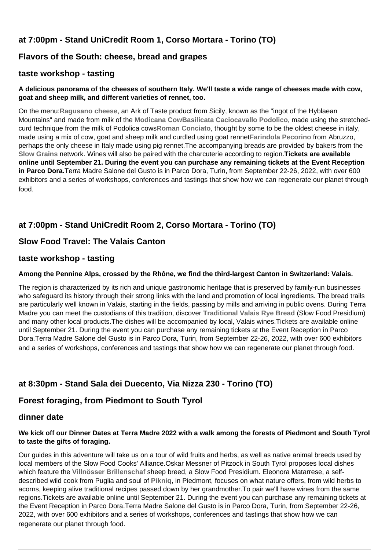# **at 7:00pm - Stand UniCredit Room 1, Corso Mortara - Torino (TO)**

# **Flavors of the South: cheese, bread and grapes**

## **taste workshop - tasting**

#### **A delicious panorama of the cheeses of southern Italy. We'll taste a wide range of cheeses made with cow, goat and sheep milk, and different varieties of rennet, too.**

On the menu:**[Ragusano cheese](https://www.fondazioneslowfood.com/en/slow-food-presidia/modicana-cow/)**, an Ark of Taste product from Sicily, known as the "ingot of the Hyblaean Mountains" and made from milk of the **[Modicana Cow](https://www.fondazioneslowfood.com/en/slow-food-presidia/modicana-cow/)[Basilicata Caciocavallo Podolico](https://www.fondazioneslowfood.com/en/slow-food-presidia/basilicata-podolico-caciocavallo/)**, made using the stretchedcurd technique from the milk of Podolica cows**[Roman Conciato](https://www.fondazioneslowfood.com/en/slow-food-presidia/roman-conciato/)**, thought by some to be the oldest cheese in italy, made using a mix of cow, goat and sheep milk and curdled using goat rennet**[Farindola Pecorino](https://www.fondazioneslowfood.com/en/slow-food-presidia/farindola-pecorino/)** from Abruzzo, perhaps the only cheese in Italy made using pig rennet.The accompanying breads are provided by bakers from the **[Slow Grains](https://www.slowfood.it/slow-grains-la-rete-slow-food-dei-custodi-dei-grani-tradizionali/)** network. Wines will also be paired with the charcuterie according to region.**Tickets are available online until September 21. During the event you can purchase any remaining tickets at the Event Reception in Parco Dora.**Terra Madre Salone del Gusto is in Parco Dora, Turin, from September 22-26, 2022, with over 600 exhibitors and a series of workshops, conferences and tastings that show how we can regenerate our planet through food.

# **at 7:00pm - Stand UniCredit Room 2, Corso Mortara - Torino (TO)**

# **Slow Food Travel: The Valais Canton**

#### **taste workshop - tasting**

#### **Among the Pennine Alps, crossed by the Rhône, we find the third-largest Canton in Switzerland: Valais.**

The region is characterized by its rich and unique gastronomic heritage that is preserved by family-run businesses who safeguard its history through their strong links with the land and promotion of local ingredients. The bread trails are particularly well known in Valais, starting in the fields, passing by mills and arriving in public ovens. During Terra Madre you can meet the custodians of this tradition, discover **[Traditional Valais Rye Bread](https://www.fondazioneslowfood.com/en/slow-food-presidia/traditional-valais-rye-bread/)** (Slow Food Presidium) and many other local products.The dishes will be accompanied by local, Valais wines.Tickets are available online until September 21. During the event you can purchase any remaining tickets at the Event Reception in Parco Dora.Terra Madre Salone del Gusto is in Parco Dora, Turin, from September 22-26, 2022, with over 600 exhibitors and a series of workshops, conferences and tastings that show how we can regenerate our planet through food.

# **at 8:30pm - Stand Sala dei Duecento, Via Nizza 230 - Torino (TO)**

# **Forest foraging, from Piedmont to South Tyrol**

#### **dinner date**

#### **We kick off our Dinner Dates at Terra Madre 2022 with a walk among the forests of Piedmont and South Tyrol to taste the gifts of foraging.**

Our guides in this adventure will take us on a tour of wild fruits and herbs, as well as native animal breeds used by local members of the Slow Food Cooks' Alliance.Oskar Messner of Pitzock in South Tyrol proposes local dishes which feature the **[Villnösser Brillenschaf](https://www.fondazioneslowfood.com/it/presidi-slow-food/pecora-villnosser-brillenschaf/)** sheep breed, a Slow Food Presidium. Eleonora Matarrese, a selfdescribed wild cook from Puglia and soul of **[Pikniq](https://pikniq.com/)**, in Piedmont, focuses on what nature offers, from wild herbs to acorns, keeping alive traditional recipes passed down by her grandmother.To pair we'll have wines from the same regions.Tickets are available online until September 21. During the event you can purchase any remaining tickets at the Event Reception in Parco Dora.Terra Madre Salone del Gusto is in Parco Dora, Turin, from September 22-26, 2022, with over 600 exhibitors and a series of workshops, conferences and tastings that show how we can regenerate our planet through food.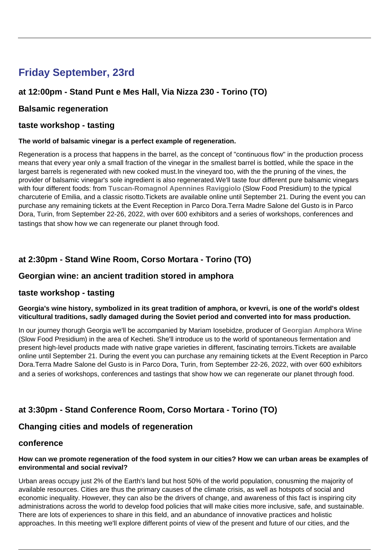# **Friday September, 23rd**

# **at 12:00pm - Stand Punt e Mes Hall, Via Nizza 230 - Torino (TO)**

## **Balsamic regeneration**

### **taste workshop - tasting**

#### **The world of balsamic vinegar is a perfect example of regeneration.**

Regeneration is a process that happens in the barrel, as the concept of "continuous flow" in the production process means that every year only a small fraction of the vinegar in the smallest barrel is bottled, while the space in the largest barrels is regenerated with new cooked must.In the vineyard too, with the the pruning of the vines, the provider of balsamic vinegar's sole ingredient is also regenerated.We'll taste four different pure balsamic vinegars with four different foods: from **[Tuscan-Romagnol Apennines Raviggiolo](https://www.fondazioneslowfood.com/en/slow-food-presidia/tosco-romagnolo-apennine-raviggiolo/)** (Slow Food Presidium) to the typical charcuterie of Emilia, and a classic risotto.Tickets are available online until September 21. During the event you can purchase any remaining tickets at the Event Reception in Parco Dora.Terra Madre Salone del Gusto is in Parco Dora, Turin, from September 22-26, 2022, with over 600 exhibitors and a series of workshops, conferences and tastings that show how we can regenerate our planet through food.

# **at 2:30pm - Stand Wine Room, Corso Mortara - Torino (TO)**

## **Georgian wine: an ancient tradition stored in amphora**

#### **taste workshop - tasting**

#### **Georgia's wine history, symbolized in its great tradition of amphora, or kvevri, is one of the world's oldest viticultural traditions, sadly damaged during the Soviet period and converted into for mass production.**

In our journey thorugh Georgia we'll be accompanied by Mariam Iosebidze, producer of **[Georgian Amphora Wine](https://www.fondazioneslowfood.com/en/slow-food-presidia/georgian-wine-in-jars/)** (Slow Food Presidium) in the area of Kecheti. She'll introduce us to the world of spontaneous fermentation and present high-level products made with native grape varieties in different, fascinating terroirs.Tickets are available online until September 21. During the event you can purchase any remaining tickets at the Event Reception in Parco Dora.Terra Madre Salone del Gusto is in Parco Dora, Turin, from September 22-26, 2022, with over 600 exhibitors and a series of workshops, conferences and tastings that show how we can regenerate our planet through food.

# **at 3:30pm - Stand Conference Room, Corso Mortara - Torino (TO)**

# **Changing cities and models of regeneration**

## **conference**

#### **How can we promote regeneration of the food system in our cities? How we can urban areas be examples of environmental and social revival?**

Urban areas occupy just 2% of the Earth's land but host 50% of the world population, conusming the majority of available resources. Cities are thus the primary causes of the climate crisis, as well as hotspots of social and economic inequality. However, they can also be the drivers of change, and awareness of this fact is inspiring city administrations across the world to develop food policies that will make cities more inclusive, safe, and sustainable. There are lots of experiences to share in this field, and an abundance of innovative practices and holistic approaches. In this meeting we'll explore different points of view of the present and future of our cities, and the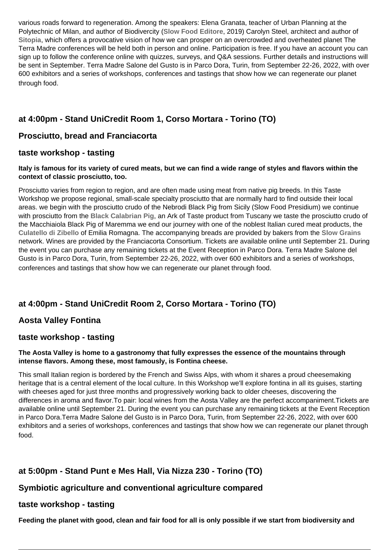various roads forward to regeneration. Among the speakers: Elena Granata, teacher of Urban Planning at the Polytechnic of Milan, and author of Biodivercity (**[Slow Food Editore](https://www.slowfoodeditore.it/it/)**, 2019) Carolyn Steel, architect and author of **[Sitopia](https://www.theguardian.com/books/2020/mar/12/sitopia-how-food-can-save-the-world-carolyn-steel-review)**, which offers a provocative vision of how we can prosper on an overcrowded and overheated planet The Terra Madre conferences will be held both in person and online. Participation is free. If you have an account you can sign up to follow the conference online with quizzes, surveys, and Q&A sessions. Further details and instructions will be sent in September. Terra Madre Salone del Gusto is in Parco Dora, Turin, from September 22-26, 2022, with over 600 exhibitors and a series of workshops, conferences and tastings that show how we can regenerate our planet through food.

# **at 4:00pm - Stand UniCredit Room 1, Corso Mortara - Torino (TO)**

# **Prosciutto, bread and Franciacorta**

# **taste workshop - tasting**

#### **Italy is famous for its variety of cured meats, but we can find a wide range of styles and flavors within the context of classic prosciutto, too.**

Prosciutto varies from region to region, and are often made using meat from native pig breeds. In this Taste Workshop we propose regional, small-scale specialty prosciutto that are normally hard to find outside their local areas. we begin with the prosciutto crudo of the Nebrodi Black Pig from Sicily (Slow Food Presidium) we continue with prosciutto from the **[Black Calabrian Pig](https://www.fondazioneslowfood.com/en/ark-of-taste-slow-food/black-calabrian-pig/)**, an Ark of Taste product from Tuscany we taste the prosciutto crudo of the Macchiaiola Black Pig of Maremma we end our journey with one of the noblest Italian cured meat products, the **[Culatello di Zibello](https://www.fondazioneslowfood.com/en/slow-food-presidia/zibello-culatello/)** of Emilia Romagna. The accompanying breads are provided by bakers from the **[Slow Grains](https://www.slowfood.it/slow-grains-la-rete-slow-food-dei-custodi-dei-grani-tradizionali/)** network. Wines are provided by the Franciacorta Consortium. Tickets are available online until September 21. During the event you can purchase any remaining tickets at the Event Reception in Parco Dora. Terra Madre Salone del Gusto is in Parco Dora, Turin, from September 22-26, 2022, with over 600 exhibitors and a series of workshops, conferences and tastings that show how we can regenerate our planet through food.

# **at 4:00pm - Stand UniCredit Room 2, Corso Mortara - Torino (TO)**

# **Aosta Valley Fontina**

# **taste workshop - tasting**

#### **The Aosta Valley is home to a gastronomy that fully expresses the essence of the mountains through intense flavors. Among these, most famously, is Fontina cheese.**

This small Italian region is bordered by the French and Swiss Alps, with whom it shares a proud cheesemaking heritage that is a central element of the local culture. In this Workshop we'll explore fontina in all its guises, starting with cheeses aged for just three months and progressively working back to older cheeses, discovering the differences in aroma and flavor.To pair: local wines from the Aosta Valley are the perfect accompaniment.Tickets are available online until September 21. During the event you can purchase any remaining tickets at the Event Reception in Parco Dora.Terra Madre Salone del Gusto is in Parco Dora, Turin, from September 22-26, 2022, with over 600 exhibitors and a series of workshops, conferences and tastings that show how we can regenerate our planet through food.

# **at 5:00pm - Stand Punt e Mes Hall, Via Nizza 230 - Torino (TO)**

# **Symbiotic agriculture and conventional agriculture compared**

# **taste workshop - tasting**

**Feeding the planet with good, clean and fair food for all is only possible if we start from biodiversity and**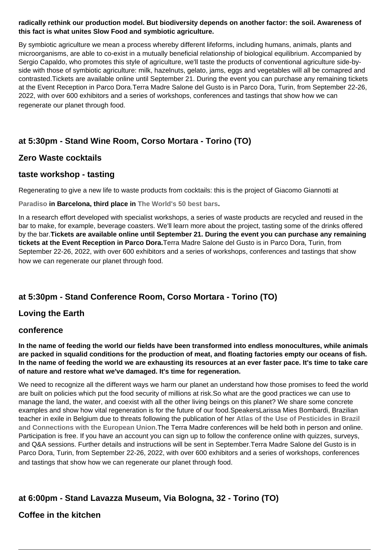#### **radically rethink our production model. But biodiversity depends on another factor: the soil. Awareness of this fact is what unites Slow Food and symbiotic agriculture.**

By symbiotic agriculture we mean a process whereby different lifeforms, including humans, animals, plants and microorganisms, are able to co-exist in a mutually beneficial relationship of biological equilibrium. Accompanied by Sergio Capaldo, who promotes this style of agriculture, we'll taste the products of conventional agriculture side-byside with those of symbiotic agriculture: milk, hazelnuts, gelato, jams, eggs and vegetables will all be comapred and contrasted.Tickets are available online until September 21. During the event you can purchase any remaining tickets at the Event Reception in Parco Dora.Terra Madre Salone del Gusto is in Parco Dora, Turin, from September 22-26, 2022, with over 600 exhibitors and a series of workshops, conferences and tastings that show how we can regenerate our planet through food.

# **at 5:30pm - Stand Wine Room, Corso Mortara - Torino (TO)**

# **Zero Waste cocktails**

# **taste workshop - tasting**

Regenerating to give a new life to waste products from cocktails: this is the project of Giacomo Giannotti at

**[Paradiso](https://paradiso.cat/) in Barcelona, third place in [The World's 50 best bars.](https://www.worlds50bestbars.com/)**

In a research effort developed with specialist workshops, a series of waste products are recycled and reused in the bar to make, for example, beverage coasters. We'll learn more about the project, tasting some of the drinks offered by the bar.**Tickets are available online until September 21. During the event you can purchase any remaining tickets at the Event Reception in Parco Dora.**Terra Madre Salone del Gusto is in Parco Dora, Turin, from September 22-26, 2022, with over 600 exhibitors and a series of workshops, conferences and tastings that show how we can regenerate our planet through food.

# **at 5:30pm - Stand Conference Room, Corso Mortara - Torino (TO)**

# **Loving the Earth**

#### **conference**

**In the name of feeding the world our fields have been transformed into endless monocultures, while animals are packed in squalid conditions for the production of meat, and floating factories empty our oceans of fish. In the name of feeding the world we are exhausting its resources at an ever faster pace. It's time to take care of nature and restore what we've damaged. It's time for regeneration.**

We need to recognize all the different ways we harm our planet an understand how those promises to feed the world are built on policies which put the food security of millions at risk.So what are the good practices we can use to manage the land, the water, and coexist with all the other living beings on this planet? We share some concrete examples and show how vital regeneration is for the future of our food.SpeakersLarissa Mies Bombardi, Brazilian teacher in exile in Belgium due to threats following the publication of her **[Atlas of the Use of Pesticides in Brazil](https://conexaoagua.mpf.mp.br/arquivos/agrotoxicos/05-larissa-bombardi-atlas-agrotoxico-2017.pdf) [and Connections with the European Union](https://conexaoagua.mpf.mp.br/arquivos/agrotoxicos/05-larissa-bombardi-atlas-agrotoxico-2017.pdf)**.The Terra Madre conferences will be held both in person and online. Participation is free. If you have an account you can sign up to follow the conference online with quizzes, surveys, and Q&A sessions. Further details and instructions will be sent in September.Terra Madre Salone del Gusto is in Parco Dora, Turin, from September 22-26, 2022, with over 600 exhibitors and a series of workshops, conferences and tastings that show how we can regenerate our planet through food.

# **at 6:00pm - Stand Lavazza Museum, Via Bologna, 32 - Torino (TO)**

# **Coffee in the kitchen**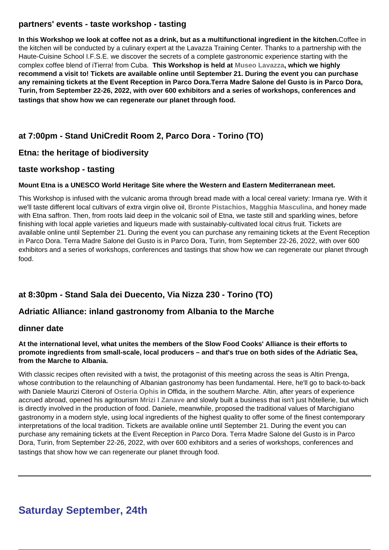# **partners' events - taste workshop - tasting**

**In this Workshop we look at coffee not as a drink, but as a multifunctional ingredient in the kitchen.**Coffee in the kitchen will be conducted by a culinary expert at the Lavazza Training Center. Thanks to a partnership with the Haute-Cuisine School I.F.S.E. we discover the secrets of a complete gastronomic experience starting with the complex coffee blend of iTierra! from Cuba. **This Workshop is held at [Museo Lavazza](https://www.lavazza.it/it/museo-lavazza.html), which we highly recommend a visit to! Tickets are available online until September 21. During the event you can purchase any remaining tickets at the Event Reception in Parco Dora.Terra Madre Salone del Gusto is in Parco Dora, Turin, from September 22-26, 2022, with over 600 exhibitors and a series of workshops, conferences and tastings that show how we can regenerate our planet through food.** 

# **at 7:00pm - Stand UniCredit Room 2, Parco Dora - Torino (TO)**

# **Etna: the heritage of biodiversity**

## **taste workshop - tasting**

#### **Mount Etna is a UNESCO World Heritage Site where the Western and Eastern Mediterranean meet.**

This Workshop is infused with the vulcanic aroma through bread made with a local cereal variety: Irmana rye. With it we'll taste different local cultivars of extra virgin olive oil, **[Bronte Pistachios](https://www.fondazioneslowfood.com/en/slow-food-presidia/bronte-pistachio/)**, **[Magghia Masculina](https://www.fondazioneslowfood.com/en/slow-food-presidia/magghia-masculina/)**, and honey made with Etna saffron. Then, from roots laid deep in the volcanic soil of Etna, we taste still and sparkling wines, before finishing with local apple varieties and liqueurs made with sustainably-cultivated local citrus fruit. Tickets are available online until September 21. During the event you can purchase any remaining tickets at the Event Reception in Parco Dora. Terra Madre Salone del Gusto is in Parco Dora, Turin, from September 22-26, 2022, with over 600 exhibitors and a series of workshops, conferences and tastings that show how we can regenerate our planet through food.

# **at 8:30pm - Stand Sala dei Duecento, Via Nizza 230 - Torino (TO)**

# **Adriatic Alliance: inland gastronomy from Albania to the Marche**

#### **dinner date**

#### **At the international level, what unites the members of the Slow Food Cooks' Alliance is their efforts to promote ingredients from small-scale, local producers – and that's true on both sides of the Adriatic Sea, from the Marche to Albania.**

With classic recipes often revisited with a twist, the protagonist of this meeting across the seas is Altin Prenga, whose contribution to the relaunching of Albanian gastronomy has been fundamental. Here, he'll go to back-to-back with Daniele Maurizi Citeroni of **[Osteria Ophis](https://www.osteriaophis.com/)** in Offida, in the southern Marche. Altin, after years of experience accrued abroad, opened his agritourism **[Mrizi I Zanave](https://urlsand.esvalabs.com/?u=https%3A%2F%2Fwww.facebook.com%2FMriziIZanaveAgroturizem%2F&e=2ffb506b&h=46489b50&f=y&p=y)** and slowly built a business that isn't just hôtellerie, but which is directly involved in the production of food. Daniele, meanwhile, proposed the traditional values of Marchigiano gastronomy in a modern style, using local ingredients of the highest quality to offer some of the finest contemporary interpretations of the local tradition. Tickets are available online until September 21. During the event you can purchase any remaining tickets at the Event Reception in Parco Dora. Terra Madre Salone del Gusto is in Parco Dora, Turin, from September 22-26, 2022, with over 600 exhibitors and a series of workshops, conferences and tastings that show how we can regenerate our planet through food.

# **Saturday September, 24th**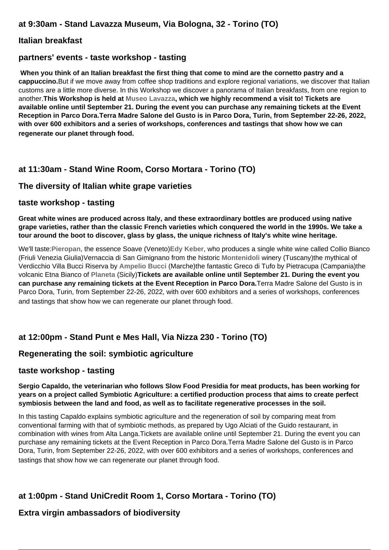## **Italian breakfast**

## **partners' events - taste workshop - tasting**

**When you think of an Italian breakfast the first thing that come to mind are the cornetto pastry and a cappuccino.**But if we move away from coffee shop traditions and explore regional variations, we discover that Italian customs are a little more diverse. In this Workshop we discover a panorama of Italian breakfasts, from one region to another.**This Workshop is held at [Museo Lavazza](https://www.lavazza.it/it/museo-lavazza.html), which we highly recommend a visit to! Tickets are available online until September 21. During the event you can purchase any remaining tickets at the Event Reception in Parco Dora.Terra Madre Salone del Gusto is in Parco Dora, Turin, from September 22-26, 2022, with over 600 exhibitors and a series of workshops, conferences and tastings that show how we can regenerate our planet through food.** 

# **at 11:30am - Stand Wine Room, Corso Mortara - Torino (TO)**

## **The diversity of Italian white grape varieties**

#### **taste workshop - tasting**

**Great white wines are produced across Italy, and these extraordinary bottles are produced using native grape varieties, rather than the classic French varieties which conquered the world in the 1990s. We take a tour around the boot to discover, glass by glass, the unique richness of Italy's white wine heritage.**

We'll taste:**[Pieropan](https://www.pieropan.it/)**, the essence Soave (Veneto)**[Edy Keber](http://www.edikeber.it/)**, who produces a single white wine called Collio Bianco (Friuli Venezia Giulia)Vernaccia di San Gimignano from the historic **[Montenidoli](https://www.montenidoli.com/it/front-page-italiano/)** winery (Tuscany)the mythical of Verdicchio Villa Bucci Riserva by **[Ampelio Bucci](https://www.villabucci.com/)** (Marche)the fantastic Greco di Tufo by Pietracupa (Campania)the volcanic Etna Bianco of **[Planeta](https://planeta.it/)** (Sicily)**Tickets are available online until September 21. During the event you can purchase any remaining tickets at the Event Reception in Parco Dora.**Terra Madre Salone del Gusto is in Parco Dora, Turin, from September 22-26, 2022, with over 600 exhibitors and a series of workshops, conferences and tastings that show how we can regenerate our planet through food.

# **at 12:00pm - Stand Punt e Mes Hall, Via Nizza 230 - Torino (TO)**

# **Regenerating the soil: symbiotic agriculture**

#### **taste workshop - tasting**

#### **Sergio Capaldo, the veterinarian who follows Slow Food Presidia for meat products, has been working for years on a project called Symbiotic Agriculture: a certified production process that aims to create perfect symbiosis between the land and food, as well as to facilitate regenerative processes in the soil.**

In this tasting Capaldo explains symbiotic agriculture and the regeneration of soil by comparing meat from conventional farming with that of symbiotic methods, as prepared by Ugo Alciati of the Guido restaurant, in combination with wines from Alta Langa.Tickets are available online until September 21. During the event you can purchase any remaining tickets at the Event Reception in Parco Dora.Terra Madre Salone del Gusto is in Parco Dora, Turin, from September 22-26, 2022, with over 600 exhibitors and a series of workshops, conferences and tastings that show how we can regenerate our planet through food.

# **at 1:00pm - Stand UniCredit Room 1, Corso Mortara - Torino (TO)**

# **Extra virgin ambassadors of biodiversity**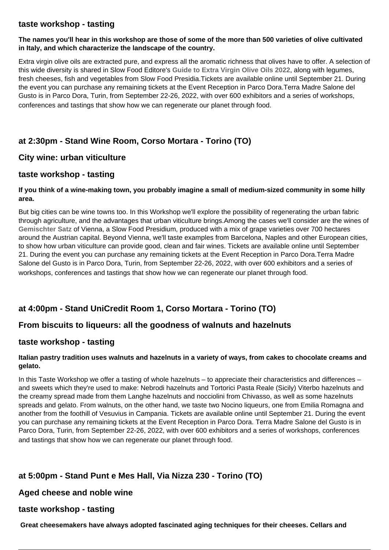## **taste workshop - tasting**

#### **The names you'll hear in this workshop are those of some of the more than 500 varieties of olive cultivated in Italy, and which characterize the landscape of the country.**

Extra virgin olive oils are extracted pure, and express all the aromatic richness that olives have to offer. A selection of this wide diversity is shared in Slow Food Editore's **[Guide to Extra Virgin Olive Oils 2022](https://www.slowfoodeditore.it/it/guide-slow/guida-agli-extravergini-2022--994.html)**, along with legumes, fresh cheeses, fish and vegetables from Slow Food Presidia.Tickets are available online until September 21. During the event you can purchase any remaining tickets at the Event Reception in Parco Dora.Terra Madre Salone del Gusto is in Parco Dora, Turin, from September 22-26, 2022, with over 600 exhibitors and a series of workshops, conferences and tastings that show how we can regenerate our planet through food.

# **at 2:30pm - Stand Wine Room, Corso Mortara - Torino (TO)**

## **City wine: urban viticulture**

## **taste workshop - tasting**

#### **If you think of a wine-making town, you probably imagine a small of medium-sized community in some hilly area.**

But big cities can be wine towns too. In this Workshop we'll explore the possibility of regenerating the urban fabric through agriculture, and the advantages that urban viticulture brings.Among the cases we'll consider are the wines of **[Gemischter Satz](https://www.fondazioneslowfood.com/it/presidi-slow-food/vini-gemischter-satz-di-vienna/)** of Vienna, a Slow Food Presidium, produced with a mix of grape varieties over 700 hectares around the Austrian capital. Beyond Vienna, we'll taste examples from Barcelona, Naples and other European cities, to show how urban viticulture can provide good, clean and fair wines. Tickets are available online until September 21. During the event you can purchase any remaining tickets at the Event Reception in Parco Dora.Terra Madre Salone del Gusto is in Parco Dora, Turin, from September 22-26, 2022, with over 600 exhibitors and a series of workshops, conferences and tastings that show how we can regenerate our planet through food.

# **at 4:00pm - Stand UniCredit Room 1, Corso Mortara - Torino (TO)**

# **From biscuits to liqueurs: all the goodness of walnuts and hazelnuts**

#### **taste workshop - tasting**

#### **Italian pastry tradition uses walnuts and hazelnuts in a variety of ways, from cakes to chocolate creams and gelato.**

In this Taste Workshop we offer a tasting of whole hazelnuts – to appreciate their characteristics and differences – and sweets which they're used to make: Nebrodi hazelnuts and Tortorici Pasta Reale (Sicily) Viterbo hazelnuts and the creamy spread made from them Langhe hazelnuts and nocciolini from Chivasso, as well as some hazelnuts spreads and gelato. From walnuts, on the other hand, we taste two Nocino liqueurs, one from Emilia Romagna and another from the foothill of Vesuvius in Campania. Tickets are available online until September 21. During the event you can purchase any remaining tickets at the Event Reception in Parco Dora. Terra Madre Salone del Gusto is in Parco Dora, Turin, from September 22-26, 2022, with over 600 exhibitors and a series of workshops, conferences and tastings that show how we can regenerate our planet through food.

# **at 5:00pm - Stand Punt e Mes Hall, Via Nizza 230 - Torino (TO)**

#### **Aged cheese and noble wine**

#### **taste workshop - tasting**

**Great cheesemakers have always adopted fascinated aging techniques for their cheeses. Cellars and**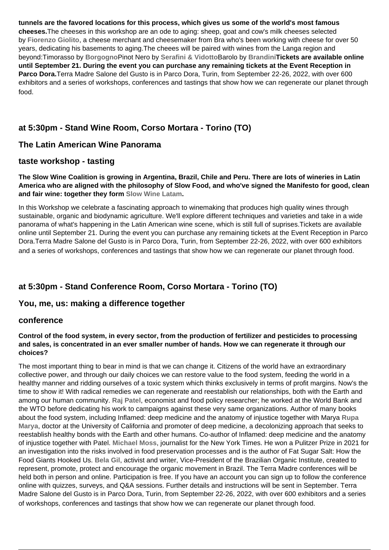**tunnels are the favored locations for this process, which gives us some of the world's most famous cheeses.**The cheeses in this workshop are an ode to aging: sheep, goat and cow's milk cheeses selected by **[Fiorenzo Giolito](https://www.giolitocheese.it/)**, a cheese merchant and cheesemaker from Bra who's been working with cheese for over 50 years, dedicating his basements to aging.The cheees will be paired with wines from the Langa region and beyond:Timorasso by **[Borgogno](https://www.borgogno.com/)**Pinot Nero by **[Serafini & Vidotto](https://www.serafinividotto.it/)**Barolo by **[Brandini](https://www.agricolabrandini.it/it/)Tickets are available online until September 21. During the event you can purchase any remaining tickets at the Event Reception in Parco Dora.**Terra Madre Salone del Gusto is in Parco Dora, Turin, from September 22-26, 2022, with over 600 exhibitors and a series of workshops, conferences and tastings that show how we can regenerate our planet through food.

# **at 5:30pm - Stand Wine Room, Corso Mortara - Torino (TO)**

# **The Latin American Wine Panorama**

#### **taste workshop - tasting**

**The Slow Wine Coalition is growing in Argentina, Brazil, Chile and Peru. There are lots of wineries in Latin America who are aligned with the philosophy of Slow Food, and who've signed the Manifesto for good, clean and fair wine: together they form [Slow Wine Latam.](https://slowinefair.slowfood.it/slow-wine-latam/)**

In this Workshop we celebrate a fascinating approach to winemaking that produces high quality wines through sustainable, organic and biodynamic agriculture. We'll explore different techniques and varieties and take in a wide panorama of what's happening in the Latin American wine scene, which is still full of suprises.Tickets are available online until September 21. During the event you can purchase any remaining tickets at the Event Reception in Parco Dora.Terra Madre Salone del Gusto is in Parco Dora, Turin, from September 22-26, 2022, with over 600 exhibitors and a series of workshops, conferences and tastings that show how we can regenerate our planet through food.

# **at 5:30pm - Stand Conference Room, Corso Mortara - Torino (TO)**

#### **You, me, us: making a difference together**

#### **conference**

#### **Control of the food system, in every sector, from the production of fertilizer and pesticides to processing and sales, is concentrated in an ever smaller number of hands. How we can regenerate it through our choices?**

The most important thing to bear in mind is that we can change it. Citizens of the world have an extraordinary collective power, and through our daily choices we can restore value to the food system, feeding the world in a healthy manner and ridding ourselves of a toxic system which thinks exclusively in terms of profit margins. Now's the time to show it! With radical remedies we can regenerate and reestablish our relationships, both with the Earth and among our human community. **[Raj Patel](https://rajpatel.org/)**, economist and food policy researcher; he worked at the World Bank and the WTO before dedicating his work to campaigns against these very same organizations. Author of many books about the food system, including Inflamed: deep medicine and the anatomy of injustice together with Marya **[Rupa](https://rupamarya.org/) [Marya](https://rupamarya.org/)**, doctor at the University of California and promoter of deep medicine, a decolonizing approach that seeks to reestablish healthy bonds with the Earth and other humans. Co-author of Inflamed: deep medicine and the anatomy of injustice together with Patel. **[Michael Moss](https://www.harvard.com/book/9780812997293_hooked/)**, journalist for the New York Times. He won a Pulitzer Prize in 2021 for an investigation into the risks involved in food preservation processes and is the author of Fat Sugar Salt: How the Food Giants Hooked Us. **[Bela Gil](https://belagil.com/)**, activist and writer, Vice-President of the Brazilian Organic Institute, created to represent, promote, protect and encourage the organic movement in Brazil. The Terra Madre conferences will be held both in person and online. Participation is free. If you have an account you can sign up to follow the conference online with quizzes, surveys, and Q&A sessions. Further details and instructions will be sent in September. Terra Madre Salone del Gusto is in Parco Dora, Turin, from September 22-26, 2022, with over 600 exhibitors and a series of workshops, conferences and tastings that show how we can regenerate our planet through food.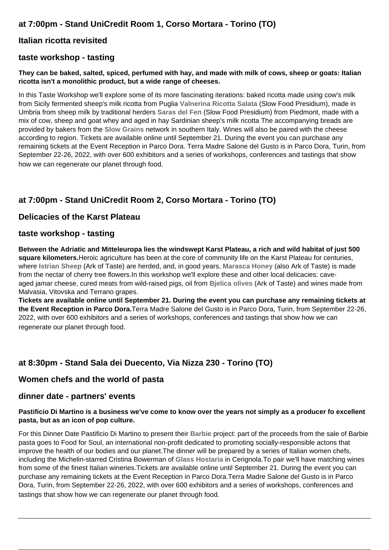# **at 7:00pm - Stand UniCredit Room 1, Corso Mortara - Torino (TO)**

# **Italian ricotta revisited**

# **taste workshop - tasting**

#### **They can be baked, salted, spiced, perfumed with hay, and made with milk of cows, sheep or goats: Italian ricotta isn't a monolithic product, but a wide range of cheeses.**

In this Taste Workshop we'll explore some of its more fascinating iterations: baked ricotta made using cow's milk from Sicily fermented sheep's milk ricotta from Puglia **[Valnerina Ricotta Salata](https://www.fondazioneslowfood.com/en/slow-food-presidia/salted-ricotta-from-valnerina/)** (Slow Food Presidium), made in Umbria from sheep milk by traditional herders **[Saras del Fen](https://www.fondazioneslowfood.com/en/slow-food-presidia/saras-del-fen/)** (Slow Food Presidium) from Piedmont, made with a mix of cow, sheep and goat whey and aged in hay Sardinian sheep's milk ricotta The accompanying breads are provided by bakers from the **[Slow Grains](https://www.slowfood.it/slow-grains-la-rete-slow-food-dei-custodi-dei-grani-tradizionali/)** network in southern Italy. Wines will also be paired with the cheese according to region. Tickets are available online until September 21. During the event you can purchase any remaining tickets at the Event Reception in Parco Dora. Terra Madre Salone del Gusto is in Parco Dora, Turin, from September 22-26, 2022, with over 600 exhibitors and a series of workshops, conferences and tastings that show how we can regenerate our planet through food.

# **at 7:00pm - Stand UniCredit Room 2, Corso Mortara - Torino (TO)**

# **Delicacies of the Karst Plateau**

## **taste workshop - tasting**

**Between the Adriatic and Mitteleuropa lies the windswept Karst Plateau, a rich and wild habitat of just 500 square kilometers.**Heroic agriculture has been at the core of community life on the Karst Plateau for centuries, where **[Istrian Sheep](https://www.fondazioneslowfood.com/en/ark-of-taste-slow-food/istrian-goat/)** (Ark of Taste) are herded, and, in good years, **[Marasca Honey](https://www.fondazioneslowfood.com/en/ark-of-taste-slow-food/carso-marasca-honey/)** (also Ark of Taste) is made from the nectar of cherry tree flowers.In this workshop we'll explore these and other local delicacies: caveaged jamar cheese, cured meats from wild-raised pigs, oil from **[Bjelica olives](https://www.fondazioneslowfood.com/en/ark-of-taste-slow-food/bianchera-olive/)** (Ark of Taste) and wines made from Malvasia, Vitovska and Terrano grapes.

**Tickets are available online until September 21. During the event you can purchase any remaining tickets at the Event Reception in Parco Dora.**Terra Madre Salone del Gusto is in Parco Dora, Turin, from September 22-26, 2022, with over 600 exhibitors and a series of workshops, conferences and tastings that show how we can regenerate our planet through food.

# **at 8:30pm - Stand Sala dei Duecento, Via Nizza 230 - Torino (TO)**

# **Women chefs and the world of pasta**

#### **dinner date - partners' events**

#### **Pastificio Di Martino is a business we've come to know over the years not simply as a producer fo excellent pasta, but as an icon of pop culture.**

For this Dinner Date Pastificio Di Martino to present their **[Barbie](https://pastadimartino.it/partnerships/barbie/)** project: part of the proceeds from the sale of Barbie pasta goes to Food for Soul, an international non-profit dedicated to promoting socially-responsible actons that improve the health of our bodies and our planet.The dinner will be prepared by a series of Italian women chefs, including the Michelin-starred Cristina Bowerman of **[Glass Hostaria](https://glasshostaria.it/chef/)** in Cerignola.To pair we'll have matching wines from some of the finest Italian wineries.Tickets are available online until September 21. During the event you can purchase any remaining tickets at the Event Reception in Parco Dora.Terra Madre Salone del Gusto is in Parco Dora, Turin, from September 22-26, 2022, with over 600 exhibitors and a series of workshops, conferences and tastings that show how we can regenerate our planet through food.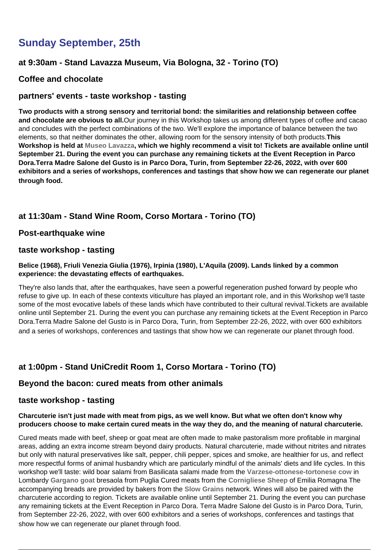# **Sunday September, 25th**

# **at 9:30am - Stand Lavazza Museum, Via Bologna, 32 - Torino (TO)**

## **Coffee and chocolate**

## **partners' events - taste workshop - tasting**

**Two products with a strong sensory and territorial bond: the similarities and relationship between coffee and chocolate are obvious to all.**Our journey in this Workshop takes us among different types of coffee and cacao and concludes with the perfect combinations of the two. We'll explore the importance of balance between the two elements, so that neither dominates the other, allowing room for the sensory intensity of both products.**This Workshop is held at [Museo Lavazza,](https://www.lavazza.it/it/museo-lavazza.html) which we highly recommend a visit to! Tickets are available online until September 21. During the event you can purchase any remaining tickets at the Event Reception in Parco Dora.Terra Madre Salone del Gusto is in Parco Dora, Turin, from September 22-26, 2022, with over 600 exhibitors and a series of workshops, conferences and tastings that show how we can regenerate our planet through food.** 

# **at 11:30am - Stand Wine Room, Corso Mortara - Torino (TO)**

#### **Post-earthquake wine**

#### **taste workshop - tasting**

#### **Belice (1968), Friuli Venezia Giulia (1976), Irpinia (1980), L'Aquila (2009). Lands linked by a common experience: the devastating effects of earthquakes.**

They're also lands that, after the earthquakes, have seen a powerful regeneration pushed forward by people who refuse to give up. In each of these contexts viticulture has played an important role, and in this Workshop we'll taste some of the most evocative labels of these lands which have contributed to their cultural revival.Tickets are available online until September 21. During the event you can purchase any remaining tickets at the Event Reception in Parco Dora.Terra Madre Salone del Gusto is in Parco Dora, Turin, from September 22-26, 2022, with over 600 exhibitors and a series of workshops, conferences and tastings that show how we can regenerate our planet through food.

# **at 1:00pm - Stand UniCredit Room 1, Corso Mortara - Torino (TO)**

#### **Beyond the bacon: cured meats from other animals**

#### **taste workshop - tasting**

#### **Charcuterie isn't just made with meat from pigs, as we well know. But what we often don't know why producers choose to make certain cured meats in the way they do, and the meaning of natural charcuterie.**

Cured meats made with beef, sheep or goat meat are often made to make pastoralism more profitable in marginal areas, adding an extra income stream beyond dairy products. Natural charcuterie, made without nitrites and nitrates but only with natural preservatives like salt, pepper, chili pepper, spices and smoke, are healthier for us, and reflect more respectful forms of animal husbandry which are particularly mindful of the animals' diets and life cycles. In this workshop we'll taste: wild boar salami from Basilicata salami made from the **[Varzese-ottonese-tortonese cow](https://www.fondazioneslowfood.com/en/slow-food-presidia/varzese-cattle/)** in Lombardy **[Gargano goat](https://www.fondazioneslowfood.com/en/slow-food-presidia/gargano-goat/)** bresaola from Puglia Cured meats from the **[Cornigliese Sheep](https://www.fondazioneslowfood.com/en/slow-food-presidia/cornigliese-sheep/)** of Emilia Romagna The accompanying breads are provided by bakers from the **[Slow Grains](https://www.slowfood.it/slow-grains-la-rete-slow-food-dei-custodi-dei-grani-tradizionali/)** network. Wines will also be paired with the charcuterie according to region. Tickets are available online until September 21. During the event you can purchase any remaining tickets at the Event Reception in Parco Dora. Terra Madre Salone del Gusto is in Parco Dora, Turin, from September 22-26, 2022, with over 600 exhibitors and a series of workshops, conferences and tastings that show how we can regenerate our planet through food.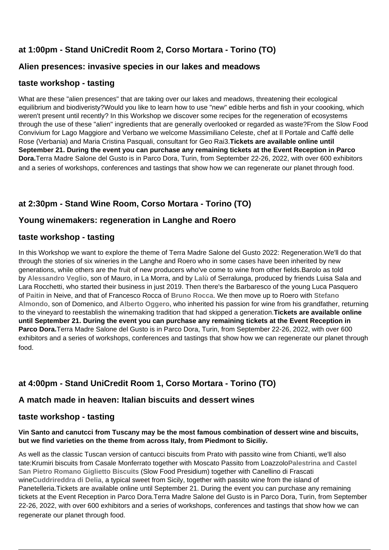# **at 1:00pm - Stand UniCredit Room 2, Corso Mortara - Torino (TO)**

# **Alien presences: invasive species in our lakes and meadows**

# **taste workshop - tasting**

What are these "alien presences" that are taking over our lakes and meadows, threatening their ecological equilibrium and biodiveristy?Would you like to learn how to use "new" edible herbs and fish in your coooking, which weren't present until recently? In this Workshop we discover some recipes for the regeneration of ecosystems through the use of these "alien" ingredients that are generally overlooked or regarded as waste?From the Slow Food Convivium for Lago Maggiore and Verbano we welcome Massimiliano Celeste, chef at Il Portale and Caffè delle Rose (Verbania) and Maria Cristina Pasquali, consultant for Geo Rai3.**Tickets are available online until September 21. During the event you can purchase any remaining tickets at the Event Reception in Parco Dora.**Terra Madre Salone del Gusto is in Parco Dora, Turin, from September 22-26, 2022, with over 600 exhibitors and a series of workshops, conferences and tastings that show how we can regenerate our planet through food.

# **at 2:30pm - Stand Wine Room, Corso Mortara - Torino (TO)**

# **Young winemakers: regeneration in Langhe and Roero**

## **taste workshop - tasting**

In this Workshop we want to explore the theme of Terra Madre Salone del Gusto 2022: Regeneration.We'll do that through the stories of six wineries in the Langhe and Roero who in some cases have been inherited by new generations, while others are the fruit of new producers who've come to wine from other fields.Barolo as told by **[Alessandro Veglio](https://www.mauroveglio.com/)**, son of Mauro, in La Morra, and by **[Lalù](https://lalu.wine/it)** of Serralunga, produced by friends Luisa Sala and Lara Rocchetti, who started their business in just 2019. Then there's the Barbaresco of the young Luca Pasquero of **[Paitin](https://www.paitin.it/)** in Neive, and that of Francesco Rocca of **[Bruno Rocca](https://www.brunorocca.it/)**. We then move up to Roero with **[Stefano](https://giovannialmondo.com/) [Almondo](https://giovannialmondo.com/)**, son of Domenico, and **[Alberto Oggero,](https://www.albertooggero.it/)** who inherited his passion for wine from his grandfather, returning to the vineyard to reestablish the winemaking tradition that had skipped a generation.**Tickets are available online until September 21. During the event you can purchase any remaining tickets at the Event Reception in Parco Dora.**Terra Madre Salone del Gusto is in Parco Dora, Turin, from September 22-26, 2022, with over 600 exhibitors and a series of workshops, conferences and tastings that show how we can regenerate our planet through food.

# **at 4:00pm - Stand UniCredit Room 1, Corso Mortara - Torino (TO)**

# **A match made in heaven: Italian biscuits and dessert wines**

# **taste workshop - tasting**

#### **Vin Santo and canutcci from Tuscany may be the most famous combination of dessert wine and biscuits, but we find varieties on the theme from across Italy, from Piedmont to Siciliy.**

As well as the classic Tuscan version of cantucci biscuits from Prato with passito wine from Chianti, we'll also tate:Krumiri biscuits from Casale Monferrato together with Moscato Passito from Loazzolo**[Palestrina and Castel](https://www.fondazioneslowfood.com/en/slow-food-presidia/palestrina-giglietto-biscuit/) [San Pietro Romano Giglietto Biscuits](https://www.fondazioneslowfood.com/en/slow-food-presidia/palestrina-giglietto-biscuit/)** (Slow Food Presidium) together with Canellino di Frascati wine**[Cuddrireddra di Delia](https://www.fondazioneslowfood.com/en/slow-food-presidia/delia-cuddrireddra/)**, a typical sweet from Sicily, together with passito wine from the island of Panetelleria.Tickets are available online until September 21. During the event you can purchase any remaining tickets at the Event Reception in Parco Dora.Terra Madre Salone del Gusto is in Parco Dora, Turin, from September 22-26, 2022, with over 600 exhibitors and a series of workshops, conferences and tastings that show how we can regenerate our planet through food.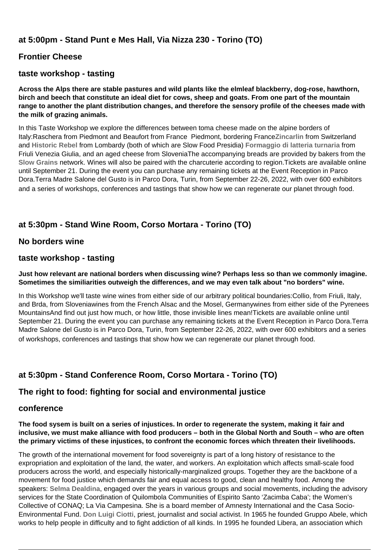# **at 5:00pm - Stand Punt e Mes Hall, Via Nizza 230 - Torino (TO)**

## **Frontier Cheese**

## **taste workshop - tasting**

**Across the Alps there are stable pastures and wild plants like the elmleaf blackberry, dog-rose, hawthorn, birch and beech that constitute an ideal diet for cows, sheep and goats. From one part of the mountain range to another the plant distribution changes, and therefore the sensory profile of the cheeses made with the milk of grazing animals.**

In this Taste Workshop we explore the differences between toma cheese made on the alpine borders of Italy:Raschera from Piedmont and Beaufort from France Piedmont, bordering France**[Zincarlin](https://www.fondazioneslowfood.com/it/presidi-slow-food/zincarlin-della-valle-di-muggio/)** from Switzerland and **[Historic Rebel](https://www.fondazioneslowfood.com/it/presidi-slow-food/bitto-storico/)** from Lombardy (both of which are Slow Food Presidia) **[Formaggio di latteria turnaria](https://www.fondazioneslowfood.com/it/presidi-slow-food/formaggio-di-latteria-turnaria/)** from Friuli Venezia Giulia, and an aged cheese from SloveniaThe accompanying breads are provided by bakers from the **[Slow Grains](https://www.slowfood.it/slow-grains-la-rete-slow-food-dei-custodi-dei-grani-tradizionali/)** network. Wines will also be paired with the charcuterie according to region.Tickets are available online until September 21. During the event you can purchase any remaining tickets at the Event Reception in Parco Dora.Terra Madre Salone del Gusto is in Parco Dora, Turin, from September 22-26, 2022, with over 600 exhibitors and a series of workshops, conferences and tastings that show how we can regenerate our planet through food.

# **at 5:30pm - Stand Wine Room, Corso Mortara - Torino (TO)**

#### **No borders wine**

#### **taste workshop - tasting**

#### **Just how relevant are national borders when discussing wine? Perhaps less so than we commonly imagine. Sometimes the similiarities outweigh the differences, and we may even talk about "no borders" wine.**

In this Workshop we'll taste wine wines from either side of our arbitrary political boundaries:Collio, from Friuli, Italy, and Brda, from Sloveniawines from the French Alsac and the Mosel, Germanywines from either side of the Pyrenees MountainsAnd find out just how much, or how little, those invisible lines mean!Tickets are available online until September 21. During the event you can purchase any remaining tickets at the Event Reception in Parco Dora.Terra Madre Salone del Gusto is in Parco Dora, Turin, from September 22-26, 2022, with over 600 exhibitors and a series of workshops, conferences and tastings that show how we can regenerate our planet through food.

# **at 5:30pm - Stand Conference Room, Corso Mortara - Torino (TO)**

#### **The right to food: fighting for social and environmental justice**

#### **conference**

**The food sysem is built on a series of injustices. In order to regenerate the system, making it fair and inclusive, we must make alliance with food producers – both in the Global North and South – who are often the primary victims of these injustices, to confront the economic forces which threaten their livelihoods.**

The growth of the international movement for food sovereignty is part of a long history of resistance to the expropriation and exploitation of the land, the water, and workers. An exploitation which affects small-scale food producers across the world, and especially historically-marginalized groups. Together they are the backbone of a movement for food justice which demands fair and equal access to good, clean and healthy food. Among the speakers: **[Selma Dealdina](https://www.instagram.com/selmadealdina/?hl=en)**, engaged over the years in various groups and social movements, including the advisory services for the State Coordination of Quilombola Communities of Espirito Santo 'Zacimba Caba'; the Women's Collective of CONAQ; La Via Campesina. She is a board member of Amnesty International and the Casa Socio-Environmental Fund. **[Don Luigi Ciotti](https://2020.terramadresalonedelgusto.com/special-guests/)**, priest, journalist and social activist. In 1965 he founded Gruppo Abele, which works to help people in difficulty and to fight addiction of all kinds. In 1995 he founded Libera, an association which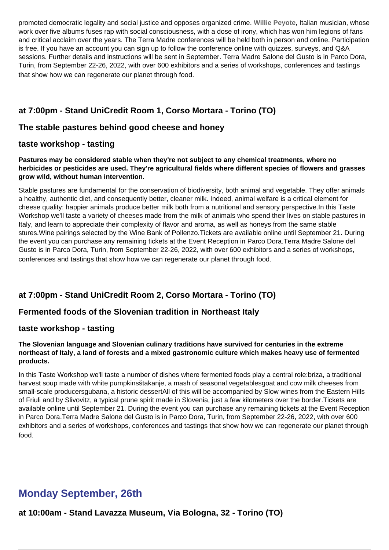promoted democratic legality and social justice and opposes organized crime. **[Willie Peyote](https://it.wikipedia.org/wiki/Willie_Peyote)**, Italian musician, whose work over five albums fuses rap with social consciousness, with a dose of irony, which has won him legions of fans and critical acclaim over the years. The Terra Madre conferences will be held both in person and online. Participation is free. If you have an account you can sign up to follow the conference online with quizzes, surveys, and Q&A sessions. Further details and instructions will be sent in September. Terra Madre Salone del Gusto is in Parco Dora, Turin, from September 22-26, 2022, with over 600 exhibitors and a series of workshops, conferences and tastings that show how we can regenerate our planet through food.

# **at 7:00pm - Stand UniCredit Room 1, Corso Mortara - Torino (TO)**

# **The stable pastures behind good cheese and honey**

## **taste workshop - tasting**

**Pastures may be considered stable when they're not subject to any chemical treatments, where no herbicides or pesticides are used. They're agricultural fields where different species of flowers and grasses grow wild, without human intervention.**

Stable pastures are fundamental for the conservation of biodiversity, both animal and vegetable. They offer animals a healthy, authentic diet, and consequently better, cleaner milk. Indeed, animal welfare is a critical element for cheese quality: happier animals produce better milk both from a nutritional and sensory perspective.In this Taste Workshop we'll taste a variety of cheeses made from the milk of animals who spend their lives on stable pastures in Italy, and learn to appreciate their complexity of flavor and aroma, as well as honeys from the same stable stures.Wine pairings selected by the Wine Bank of Pollenzo.Tickets are available online until September 21. During the event you can purchase any remaining tickets at the Event Reception in Parco Dora.Terra Madre Salone del Gusto is in Parco Dora, Turin, from September 22-26, 2022, with over 600 exhibitors and a series of workshops, conferences and tastings that show how we can regenerate our planet through food.

# **at 7:00pm - Stand UniCredit Room 2, Corso Mortara - Torino (TO)**

# **Fermented foods of the Slovenian tradition in Northeast Italy**

#### **taste workshop - tasting**

#### **The Slovenian language and Slovenian culinary traditions have survived for centuries in the extreme northeast of Italy, a land of forests and a mixed gastronomic culture which makes heavy use of fermented products.**

In this Taste Workshop we'll taste a number of dishes where fermented foods play a central role:briza, a traditional harvest soup made with white pumpkinsštakanje, a mash of seasonal vegetablesgoat and cow milk cheeses from small-scale producersgubana, a historic dessertAll of this will be accompanied by Slow wines from the Eastern Hills of Friuli and by Slivovitz, a typical prune spirit made in Slovenia, just a few kilometers over the border.Tickets are available online until September 21. During the event you can purchase any remaining tickets at the Event Reception in Parco Dora.Terra Madre Salone del Gusto is in Parco Dora, Turin, from September 22-26, 2022, with over 600 exhibitors and a series of workshops, conferences and tastings that show how we can regenerate our planet through food.

# **Monday September, 26th**

**at 10:00am - Stand Lavazza Museum, Via Bologna, 32 - Torino (TO)**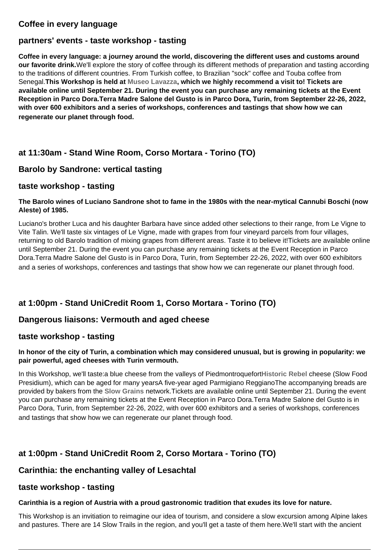# **Coffee in every language**

## **partners' events - taste workshop - tasting**

**Coffee in every language: a journey around the world, discovering the different uses and customs around our favorite drink.**We'll explore the story of coffee through its different methods of preparation and tasting according to the traditions of different countries. From Turkish coffee, to Brazilian "sock" coffee and Touba coffee from Senegal.**This Workshop is held at [Museo Lavazza](https://www.lavazza.it/it/museo-lavazza.html), which we highly recommend a visit to! Tickets are available online until September 21. During the event you can purchase any remaining tickets at the Event Reception in Parco Dora.Terra Madre Salone del Gusto is in Parco Dora, Turin, from September 22-26, 2022, with over 600 exhibitors and a series of workshops, conferences and tastings that show how we can regenerate our planet through food.** 

# **at 11:30am - Stand Wine Room, Corso Mortara - Torino (TO)**

## **Barolo by Sandrone: vertical tasting**

#### **taste workshop - tasting**

#### **The Barolo wines of Luciano Sandrone shot to fame in the 1980s with the near-mytical Cannubi Boschi (now Aleste) of 1985.**

Luciano's brother Luca and his daughter Barbara have since added other selections to their range, from Le Vigne to Vite Talin. We'll taste six vintages of Le Vigne, made with grapes from four vineyard parcels from four villages, returning to old Barolo tradition of mixing grapes from different areas. Taste it to believe it!Tickets are available online until September 21. During the event you can purchase any remaining tickets at the Event Reception in Parco Dora.Terra Madre Salone del Gusto is in Parco Dora, Turin, from September 22-26, 2022, with over 600 exhibitors and a series of workshops, conferences and tastings that show how we can regenerate our planet through food.

# **at 1:00pm - Stand UniCredit Room 1, Corso Mortara - Torino (TO)**

#### **Dangerous liaisons: Vermouth and aged cheese**

#### **taste workshop - tasting**

#### **In honor of the city of Turin, a combination which may considered unusual, but is growing in popularity: we pair powerful, aged cheeses with Turin vermouth.**

In this Workshop, we'll taste:a blue cheese from the valleys of Piedmontroquefort**[Historic Rebel](https://www.fondazioneslowfood.com/en/slow-food-presidia/heritage-bitto/)** cheese (Slow Food Presidium), which can be aged for many yearsA five-year aged Parmigiano ReggianoThe accompanying breads are provided by bakers from the **[Slow Grains](https://www.slowfood.it/slow-grains-la-rete-slow-food-dei-custodi-dei-grani-tradizionali/)** network.Tickets are available online until September 21. During the event you can purchase any remaining tickets at the Event Reception in Parco Dora.Terra Madre Salone del Gusto is in Parco Dora, Turin, from September 22-26, 2022, with over 600 exhibitors and a series of workshops, conferences and tastings that show how we can regenerate our planet through food.

# **at 1:00pm - Stand UniCredit Room 2, Corso Mortara - Torino (TO)**

#### **Carinthia: the enchanting valley of Lesachtal**

#### **taste workshop - tasting**

#### **Carinthia is a region of Austria with a proud gastronomic tradition that exudes its love for nature.**

This Workshop is an invitiation to reimagine our idea of tourism, and considere a slow excursion among Alpine lakes and pastures. There are 14 Slow Trails in the region, and you'll get a taste of them here.We'll start with the ancient